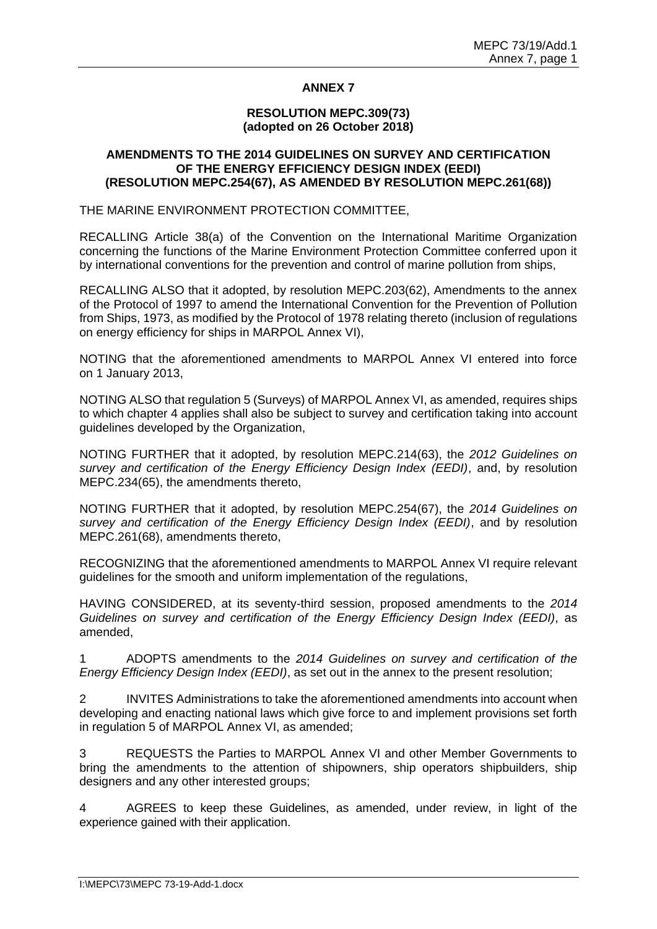# **ANNEX 7**

#### **RESOLUTION MEPC.309(73) (adopted on 26 October 2018)**

### **AMENDMENTS TO THE 2014 GUIDELINES ON SURVEY AND CERTIFICATION OF THE ENERGY EFFICIENCY DESIGN INDEX (EEDI) (RESOLUTION MEPC.254(67), AS AMENDED BY RESOLUTION MEPC.261(68))**

### THE MARINE ENVIRONMENT PROTECTION COMMITTEE,

RECALLING Article 38(a) of the Convention on the International Maritime Organization concerning the functions of the Marine Environment Protection Committee conferred upon it by international conventions for the prevention and control of marine pollution from ships,

RECALLING ALSO that it adopted, by resolution MEPC.203(62), Amendments to the annex of the Protocol of 1997 to amend the International Convention for the Prevention of Pollution from Ships, 1973, as modified by the Protocol of 1978 relating thereto (inclusion of regulations on energy efficiency for ships in MARPOL Annex VI),

NOTING that the aforementioned amendments to MARPOL Annex VI entered into force on 1 January 2013,

NOTING ALSO that regulation 5 (Surveys) of MARPOL Annex VI, as amended, requires ships to which chapter 4 applies shall also be subject to survey and certification taking into account guidelines developed by the Organization,

NOTING FURTHER that it adopted, by resolution MEPC.214(63), the *2012 Guidelines on survey and certification of the Energy Efficiency Design Index (EEDI)*, and, by resolution MEPC.234(65), the amendments thereto,

NOTING FURTHER that it adopted, by resolution MEPC.254(67), the *2014 Guidelines on survey and certification of the Energy Efficiency Design Index (EEDI)*, and by resolution MEPC.261(68), amendments thereto,

RECOGNIZING that the aforementioned amendments to MARPOL Annex VI require relevant guidelines for the smooth and uniform implementation of the regulations,

HAVING CONSIDERED, at its seventy-third session, proposed amendments to the *2014 Guidelines on survey and certification of the Energy Efficiency Design Index (EEDI)*, as amended,

1 ADOPTS amendments to the *2014 Guidelines on survey and certification of the Energy Efficiency Design Index (EEDI)*, as set out in the annex to the present resolution;

2 INVITES Administrations to take the aforementioned amendments into account when developing and enacting national laws which give force to and implement provisions set forth in regulation 5 of MARPOL Annex VI, as amended;

3 REQUESTS the Parties to MARPOL Annex VI and other Member Governments to bring the amendments to the attention of shipowners, ship operators shipbuilders, ship designers and any other interested groups;

4 AGREES to keep these Guidelines, as amended, under review, in light of the experience gained with their application.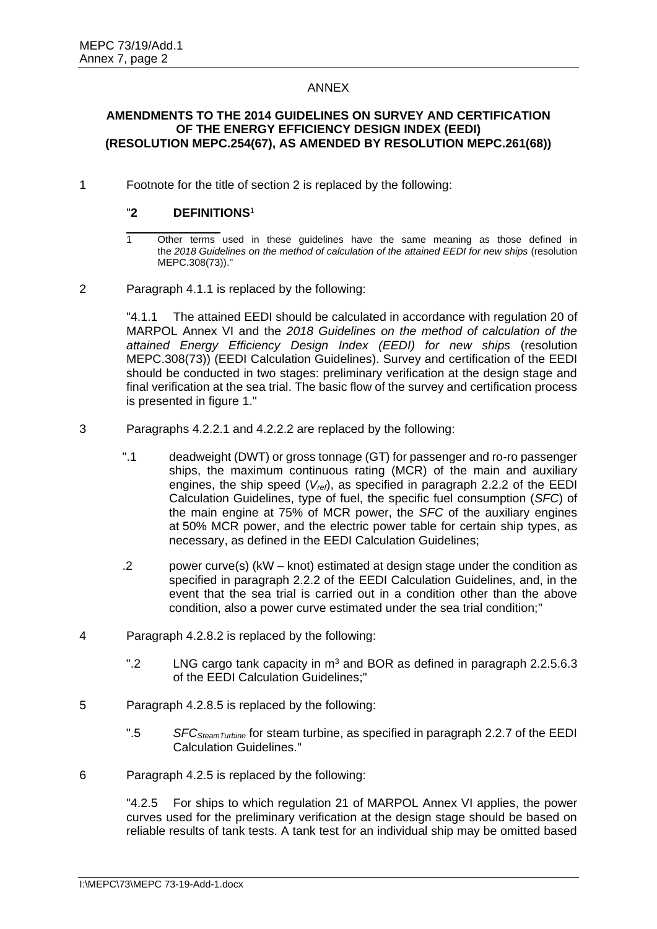# ANNEX

#### **AMENDMENTS TO THE 2014 GUIDELINES ON SURVEY AND CERTIFICATION OF THE ENERGY EFFICIENCY DESIGN INDEX (EEDI) (RESOLUTION MEPC.254(67), AS AMENDED BY RESOLUTION MEPC.261(68))**

1 Footnote for the title of section 2 is replaced by the following:

# "**2 DEFINITIONS**<sup>1</sup>

2 Paragraph 4.1.1 is replaced by the following:

"4.1.1 The attained EEDI should be calculated in accordance with regulation 20 of MARPOL Annex VI and the *2018 Guidelines on the method of calculation of the attained Energy Efficiency Design Index (EEDI) for new ships* (resolution MEPC.308(73)) (EEDI Calculation Guidelines). Survey and certification of the EEDI should be conducted in two stages: preliminary verification at the design stage and final verification at the sea trial. The basic flow of the survey and certification process is presented in figure 1."

- 3 Paragraphs 4.2.2.1 and 4.2.2.2 are replaced by the following:
	- ".1 deadweight (DWT) or gross tonnage (GT) for passenger and ro-ro passenger ships, the maximum continuous rating (MCR) of the main and auxiliary engines, the ship speed (*Vref*), as specified in paragraph 2.2.2 of the EEDI Calculation Guidelines, type of fuel, the specific fuel consumption (*SFC*) of the main engine at 75% of MCR power, the *SFC* of the auxiliary engines at 50% MCR power, and the electric power table for certain ship types, as necessary, as defined in the EEDI Calculation Guidelines;
	- .2 power curve(s) (kW knot) estimated at design stage under the condition as specified in paragraph 2.2.2 of the EEDI Calculation Guidelines, and, in the event that the sea trial is carried out in a condition other than the above condition, also a power curve estimated under the sea trial condition;"
- 4 Paragraph 4.2.8.2 is replaced by the following:
	- ".2 LNG cargo tank capacity in  $m<sup>3</sup>$  and BOR as defined in paragraph 2.2.5.6.3 of the EEDI Calculation Guidelines;"
- 5 Paragraph 4.2.8.5 is replaced by the following:
	- ".5 *SFCSteamTurbine* for steam turbine, as specified in paragraph 2.2.7 of the EEDI Calculation Guidelines."
- 6 Paragraph 4.2.5 is replaced by the following:

"4.2.5 For ships to which regulation 21 of MARPOL Annex VI applies, the power curves used for the preliminary verification at the design stage should be based on reliable results of tank tests. A tank test for an individual ship may be omitted based

<sup>1</sup> Other terms used in these guidelines have the same meaning as those defined in the *2018 Guidelines on the method of calculation of the attained EEDI for new ships* (resolution MEPC.308(73))."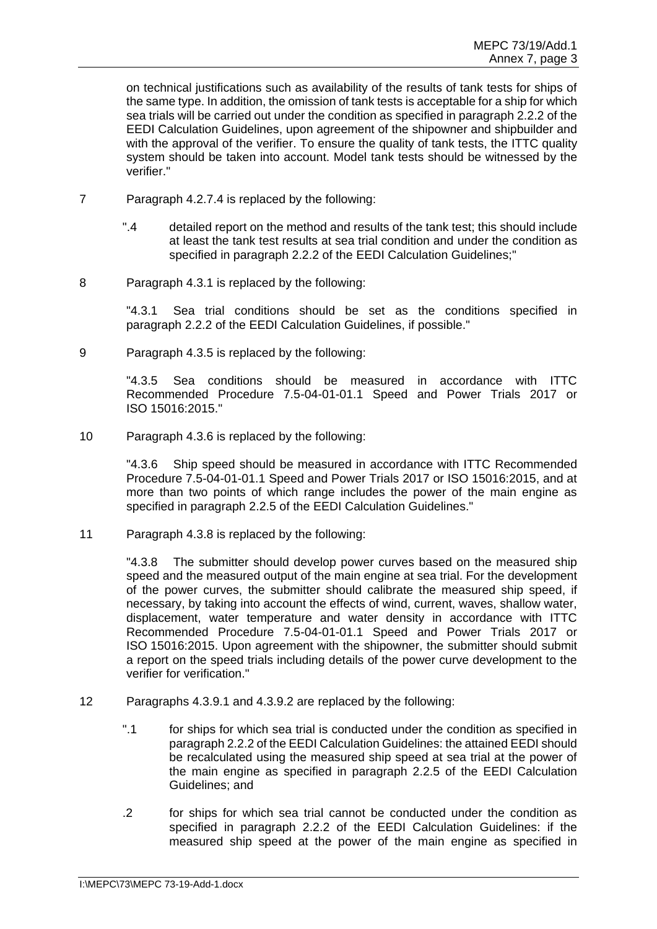on technical justifications such as availability of the results of tank tests for ships of the same type. In addition, the omission of tank tests is acceptable for a ship for which sea trials will be carried out under the condition as specified in paragraph 2.2.2 of the EEDI Calculation Guidelines, upon agreement of the shipowner and shipbuilder and with the approval of the verifier. To ensure the quality of tank tests, the ITTC quality system should be taken into account. Model tank tests should be witnessed by the verifier."

- 7 Paragraph 4.2.7.4 is replaced by the following:
	- ".4 detailed report on the method and results of the tank test; this should include at least the tank test results at sea trial condition and under the condition as specified in paragraph 2.2.2 of the EEDI Calculation Guidelines;"
- 8 Paragraph 4.3.1 is replaced by the following:

"4.3.1 Sea trial conditions should be set as the conditions specified in paragraph 2.2.2 of the EEDI Calculation Guidelines, if possible."

9 Paragraph 4.3.5 is replaced by the following:

"4.3.5 Sea conditions should be measured in accordance with ITTC Recommended Procedure 7.5-04-01-01.1 Speed and Power Trials 2017 or ISO 15016:2015."

10 Paragraph 4.3.6 is replaced by the following:

"4.3.6 Ship speed should be measured in accordance with ITTC Recommended Procedure 7.5-04-01-01.1 Speed and Power Trials 2017 or ISO 15016:2015, and at more than two points of which range includes the power of the main engine as specified in paragraph 2.2.5 of the EEDI Calculation Guidelines."

11 Paragraph 4.3.8 is replaced by the following:

"4.3.8 The submitter should develop power curves based on the measured ship speed and the measured output of the main engine at sea trial. For the development of the power curves, the submitter should calibrate the measured ship speed, if necessary, by taking into account the effects of wind, current, waves, shallow water, displacement, water temperature and water density in accordance with ITTC Recommended Procedure 7.5-04-01-01.1 Speed and Power Trials 2017 or ISO 15016:2015. Upon agreement with the shipowner, the submitter should submit a report on the speed trials including details of the power curve development to the verifier for verification."

- 12 Paragraphs 4.3.9.1 and 4.3.9.2 are replaced by the following:
	- ".1 for ships for which sea trial is conducted under the condition as specified in paragraph 2.2.2 of the EEDI Calculation Guidelines: the attained EEDI should be recalculated using the measured ship speed at sea trial at the power of the main engine as specified in paragraph 2.2.5 of the EEDI Calculation Guidelines; and
	- .2 for ships for which sea trial cannot be conducted under the condition as specified in paragraph 2.2.2 of the EEDI Calculation Guidelines: if the measured ship speed at the power of the main engine as specified in